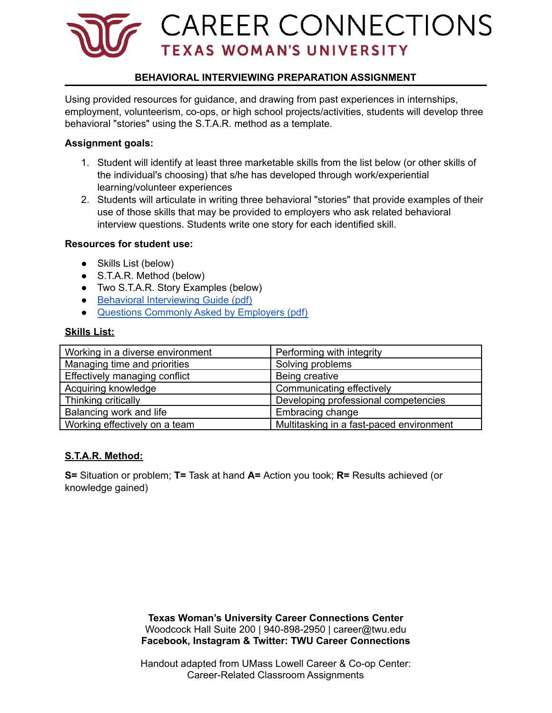

## **BEHAVIORAL INTERVIEWING PREPARATION ASSIGNMENT**

Using provided resources for guidance, and drawing from past experiences in internships, employment, volunteerism, co-ops, or high school projects/activities, students will develop three behavioral "stories" using the S.T.A.R. method as a template.

#### **Assignment goals:**

- 1. Student will identify at least three marketable skills from the list below (or other skills of the individual's choosing) that s/he has developed through work/experiential learning/volunteer experiences
- 2. Students will articulate in writing three behavioral "stories" that provide examples of their use of those skills that may be provided to employers who ask related behavioral interview questions. Students write one story for each identified skill.

#### **Resources for student use:**

- Skills List (below)
- S.T.A.R. Method (below)
- Two S.T.A.R. Story Examples (below)
- Behavioral [Interviewing](https://careerconnections.twu.edu/resources/behavioral-interviewing-guide/) Guide (pdf)
- Questions [Commonly](https://careerconnections.twu.edu/resources/employers-common-questions/) Asked by Employers (pdf)

### **Skills List:**

| Working in a diverse environment | Performing with integrity                |
|----------------------------------|------------------------------------------|
| Managing time and priorities     | Solving problems                         |
| Effectively managing conflict    | Being creative                           |
| Acquiring knowledge              | Communicating effectively                |
| Thinking critically              | Developing professional competencies     |
| Balancing work and life          | Embracing change                         |
| Working effectively on a team    | Multitasking in a fast-paced environment |

### **S.T.A.R. Method:**

**S=** Situation or problem; **T=** Task at hand **A=** Action you took; **R=** Results achieved (or knowledge gained)

> **Texas Woman's University Career Connections Center** Woodcock Hall Suite 200 | 940-898-2950 | career@twu.edu **Facebook, Instagram & Twitter: TWU Career Connections**

> Handout adapted from UMass Lowell Career & Co-op Center: Career-Related Classroom Assignments